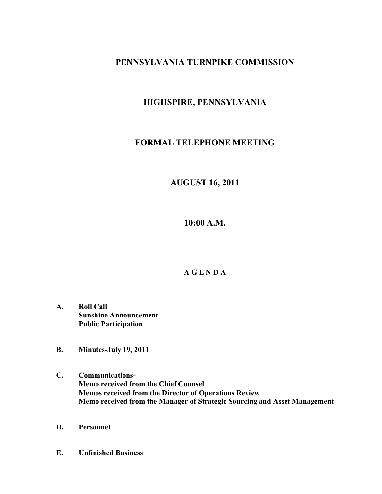# **PENNSYLVANIA TURNPIKE COMMISSION**

# **HIGHSPIRE, PENNSYLVANIA**

# **FORMAL TELEPHONE MEETING**

# **AUGUST 16, 2011**

**10:00 A.M.**

# **A G E N D A**

- **A. Roll Call Sunshine Announcement Public Participation**
- **B. Minutes-July 19, 2011**
- **C. Communications-Memo received from the Chief Counsel Memos received from the Director of Operations Review Memo received from the Manager of Strategic Sourcing and Asset Management**
- **D. Personnel**
- **E. Unfinished Business**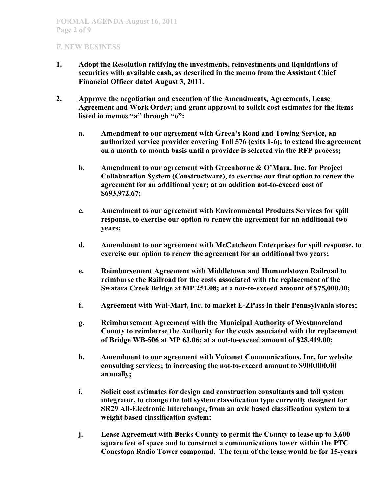- **1. Adopt the Resolution ratifying the investments, reinvestments and liquidations of securities with available cash, as described in the memo from the Assistant Chief Financial Officer dated August 3, 2011.**
- **2. Approve the negotiation and execution of the Amendments, Agreements, Lease Agreement and Work Order; and grant approval to solicit cost estimates for the items listed in memos "a" through "o":**
	- **a. Amendment to our agreement with Green's Road and Towing Service, an authorized service provider covering Toll 576 (exits 1-6); to extend the agreement on a month-to-month basis until a provider is selected via the RFP process;**
	- **b. Amendment to our agreement with Greenhorne & O'Mara, Inc. for Project Collaboration System (Constructware), to exercise our first option to renew the agreement for an additional year; at an addition not-to-exceed cost of \$693,972.67;**
	- **c. Amendment to our agreement with Environmental Products Services for spill response, to exercise our option to renew the agreement for an additional two years;**
	- **d. Amendment to our agreement with McCutcheon Enterprises for spill response, to exercise our option to renew the agreement for an additional two years;**
	- **e. Reimbursement Agreement with Middletown and Hummelstown Railroad to reimburse the Railroad for the costs associated with the replacement of the Swatara Creek Bridge at MP 251.08; at a not-to-exceed amount of \$75,000.00;**
	- **f. Agreement with Wal-Mart, Inc. to market E-ZPass in their Pennsylvania stores;**
	- **g. Reimbursement Agreement with the Municipal Authority of Westmoreland County to reimburse the Authority for the costs associated with the replacement of Bridge WB-506 at MP 63.06; at a not-to-exceed amount of \$28,419.00;**
	- **h. Amendment to our agreement with Voicenet Communications, Inc. for website consulting services; to increasing the not-to-exceed amount to \$900,000.00 annually;**
	- **i. Solicit cost estimates for design and construction consultants and toll system integrator, to change the toll system classification type currently designed for SR29 All-Electronic Interchange, from an axle based classification system to a weight based classification system;**
	- **j. Lease Agreement with Berks County to permit the County to lease up to 3,600 square feet of space and to construct a communications tower within the PTC Conestoga Radio Tower compound. The term of the lease would be for 15-years**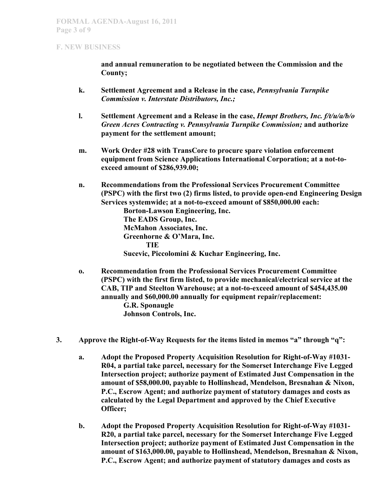**and annual remuneration to be negotiated between the Commission and the County;** 

- **k. Settlement Agreement and a Release in the case,** *Pennsylvania Turnpike Commission v. Interstate Distributors, Inc.;*
- **l. Settlement Agreement and a Release in the case,** *Hempt Brothers, Inc. f/t/u/a/b/o Green Acres Contracting v. Pennsylvania Turnpike Commission;* **and authorize payment for the settlement amount;**
- **m. Work Order #28 with TransCore to procure spare violation enforcement equipment from Science Applications International Corporation; at a not-toexceed amount of \$286,939.00;**
- **n. Recommendations from the Professional Services Procurement Committee (PSPC) with the first two (2) firms listed, to provide open-end Engineering Design Services systemwide; at a not-to-exceed amount of \$850,000.00 each: Borton-Lawson Engineering, Inc. The EADS Group, Inc. McMahon Associates, Inc. Greenhorne & O'Mara, Inc. TIE Sucevic, Piccolomini & Kuchar Engineering, Inc.**
- **o. Recommendation from the Professional Services Procurement Committee (PSPC) with the first firm listed, to provide mechanical/electrical service at the CAB, TIP and Steelton Warehouse; at a not-to-exceed amount of \$454,435.00 annually and \$60,000.00 annually for equipment repair/replacement: G.R. Sponaugle Johnson Controls, Inc.**
- **3. Approve the Right-of-Way Requests for the items listed in memos "a" through "q":**
	- **a. Adopt the Proposed Property Acquisition Resolution for Right-of-Way #1031- R04, a partial take parcel, necessary for the Somerset Interchange Five Legged Intersection project; authorize payment of Estimated Just Compensation in the amount of \$58,000.00, payable to Hollinshead, Mendelson, Bresnahan & Nixon, P.C., Escrow Agent; and authorize payment of statutory damages and costs as calculated by the Legal Department and approved by the Chief Executive Officer;**
	- **b. Adopt the Proposed Property Acquisition Resolution for Right-of-Way #1031- R20, a partial take parcel, necessary for the Somerset Interchange Five Legged Intersection project; authorize payment of Estimated Just Compensation in the amount of \$163,000.00, payable to Hollinshead, Mendelson, Bresnahan & Nixon, P.C., Escrow Agent; and authorize payment of statutory damages and costs as**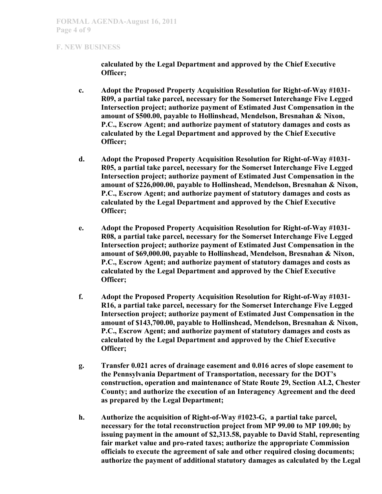**calculated by the Legal Department and approved by the Chief Executive Officer;**

- **c. Adopt the Proposed Property Acquisition Resolution for Right-of-Way #1031- R09, a partial take parcel, necessary for the Somerset Interchange Five Legged Intersection project; authorize payment of Estimated Just Compensation in the amount of \$500.00, payable to Hollinshead, Mendelson, Bresnahan & Nixon, P.C., Escrow Agent; and authorize payment of statutory damages and costs as calculated by the Legal Department and approved by the Chief Executive Officer;**
- **d. Adopt the Proposed Property Acquisition Resolution for Right-of-Way #1031- R05, a partial take parcel, necessary for the Somerset Interchange Five Legged Intersection project; authorize payment of Estimated Just Compensation in the amount of \$226,000.00, payable to Hollinshead, Mendelson, Bresnahan & Nixon, P.C., Escrow Agent; and authorize payment of statutory damages and costs as calculated by the Legal Department and approved by the Chief Executive Officer;**
- **e. Adopt the Proposed Property Acquisition Resolution for Right-of-Way #1031- R08, a partial take parcel, necessary for the Somerset Interchange Five Legged Intersection project; authorize payment of Estimated Just Compensation in the amount of \$69,000.00, payable to Hollinshead, Mendelson, Bresnahan & Nixon, P.C., Escrow Agent; and authorize payment of statutory damages and costs as calculated by the Legal Department and approved by the Chief Executive Officer;**
- **f. Adopt the Proposed Property Acquisition Resolution for Right-of-Way #1031- R16, a partial take parcel, necessary for the Somerset Interchange Five Legged Intersection project; authorize payment of Estimated Just Compensation in the amount of \$143,700.00, payable to Hollinshead, Mendelson, Bresnahan & Nixon, P.C., Escrow Agent; and authorize payment of statutory damages and costs as calculated by the Legal Department and approved by the Chief Executive Officer;**
- **g. Transfer 0.021 acres of drainage easement and 0.016 acres of slope easement to the Pennsylvania Department of Transportation, necessary for the DOT's construction, operation and maintenance of State Route 29, Section AL2, Chester County; and authorize the execution of an Interagency Agreement and the deed as prepared by the Legal Department;**
- **h. Authorize the acquisition of Right-of-Way #1023-G, a partial take parcel, necessary for the total reconstruction project from MP 99.00 to MP 109.00; by issuing payment in the amount of \$2,313.58, payable to David Stahl, representing fair market value and pro-rated taxes; authorize the appropriate Commission officials to execute the agreement of sale and other required closing documents; authorize the payment of additional statutory damages as calculated by the Legal**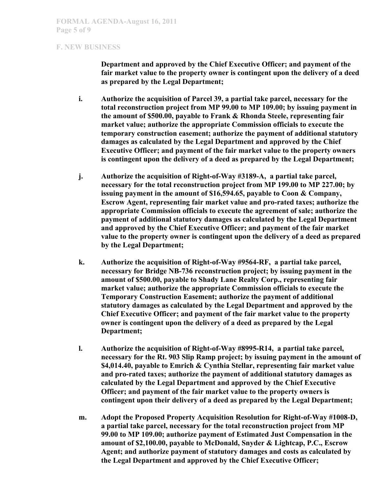**Department and approved by the Chief Executive Officer; and payment of the fair market value to the property owner is contingent upon the delivery of a deed as prepared by the Legal Department;**

- **i. Authorize the acquisition of Parcel 39, a partial take parcel, necessary for the total reconstruction project from MP 99.00 to MP 109.00; by issuing payment in the amount of \$500.00, payable to Frank & Rhonda Steele, representing fair market value; authorize the appropriate Commission officials to execute the temporary construction easement; authorize the payment of additional statutory damages as calculated by the Legal Department and approved by the Chief Executive Officer; and payment of the fair market value to the property owners is contingent upon the delivery of a deed as prepared by the Legal Department;**
- **j. Authorize the acquisition of Right-of-Way #3189-A, a partial take parcel, necessary for the total reconstruction project from MP 199.00 to MP 227.00; by issuing payment in the amount of \$16,594.65, payable to Coon & Company, Escrow Agent, representing fair market value and pro-rated taxes; authorize the appropriate Commission officials to execute the agreement of sale; authorize the payment of additional statutory damages as calculated by the Legal Department and approved by the Chief Executive Officer; and payment of the fair market value to the property owner is contingent upon the delivery of a deed as prepared by the Legal Department;**
- **k. Authorize the acquisition of Right-of-Way #9564-RF, a partial take parcel, necessary for Bridge NB-736 reconstruction project; by issuing payment in the amount of \$500.00, payable to Shady Lane Realty Corp., representing fair market value; authorize the appropriate Commission officials to execute the Temporary Construction Easement; authorize the payment of additional statutory damages as calculated by the Legal Department and approved by the Chief Executive Officer; and payment of the fair market value to the property owner is contingent upon the delivery of a deed as prepared by the Legal Department;**
- **l. Authorize the acquisition of Right-of-Way #8995-R14, a partial take parcel, necessary for the Rt. 903 Slip Ramp project; by issuing payment in the amount of \$4,014.40, payable to Emrich & Cynthia Stellar, representing fair market value and pro-rated taxes; authorize the payment of additional statutory damages as calculated by the Legal Department and approved by the Chief Executive Officer; and payment of the fair market value to the property owners is contingent upon their delivery of a deed as prepared by the Legal Department;**
- **m. Adopt the Proposed Property Acquisition Resolution for Right-of-Way #1008-D, a partial take parcel, necessary for the total reconstruction project from MP 99.00 to MP 109.00; authorize payment of Estimated Just Compensation in the amount of \$2,100.00, payable to McDonald, Snyder & Lightcap, P.C., Escrow Agent; and authorize payment of statutory damages and costs as calculated by the Legal Department and approved by the Chief Executive Officer;**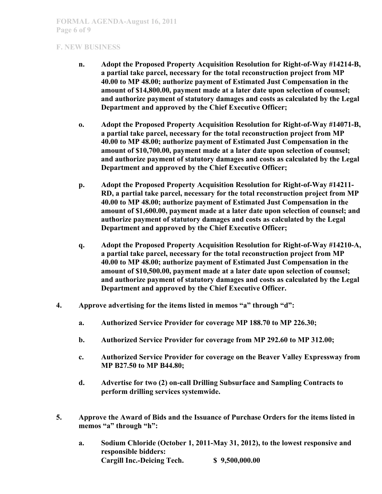- **n. Adopt the Proposed Property Acquisition Resolution for Right-of-Way #14214-B, a partial take parcel, necessary for the total reconstruction project from MP 40.00 to MP 48.00; authorize payment of Estimated Just Compensation in the amount of \$14,800.00, payment made at a later date upon selection of counsel; and authorize payment of statutory damages and costs as calculated by the Legal Department and approved by the Chief Executive Officer;**
- **o. Adopt the Proposed Property Acquisition Resolution for Right-of-Way #14071-B, a partial take parcel, necessary for the total reconstruction project from MP 40.00 to MP 48.00; authorize payment of Estimated Just Compensation in the amount of \$10,700.00, payment made at a later date upon selection of counsel; and authorize payment of statutory damages and costs as calculated by the Legal Department and approved by the Chief Executive Officer;**
- **p. Adopt the Proposed Property Acquisition Resolution for Right-of-Way #14211- RD, a partial take parcel, necessary for the total reconstruction project from MP 40.00 to MP 48.00; authorize payment of Estimated Just Compensation in the amount of \$1,600.00, payment made at a later date upon selection of counsel; and authorize payment of statutory damages and costs as calculated by the Legal Department and approved by the Chief Executive Officer;**
- **q. Adopt the Proposed Property Acquisition Resolution for Right-of-Way #14210-A, a partial take parcel, necessary for the total reconstruction project from MP 40.00 to MP 48.00; authorize payment of Estimated Just Compensation in the amount of \$10,500.00, payment made at a later date upon selection of counsel; and authorize payment of statutory damages and costs as calculated by the Legal Department and approved by the Chief Executive Officer.**
- **4. Approve advertising for the items listed in memos "a" through "d":**
	- **a. Authorized Service Provider for coverage MP 188.70 to MP 226.30;**
	- **b. Authorized Service Provider for coverage from MP 292.60 to MP 312.00;**
	- **c. Authorized Service Provider for coverage on the Beaver Valley Expressway from MP B27.50 to MP B44.80;**
	- **d. Advertise for two (2) on-call Drilling Subsurface and Sampling Contracts to perform drilling services systemwide.**
- **5. Approve the Award of Bids and the Issuance of Purchase Orders for the items listed in memos "a" through "h":**
	- **a. Sodium Chloride (October 1, 2011-May 31, 2012), to the lowest responsive and responsible bidders: Cargill Inc.-Deicing Tech. \$ 9,500,000.00**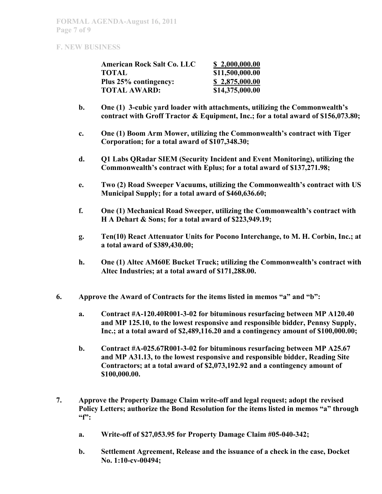| <b>American Rock Salt Co. LLC</b> | \$2,000,000.00  |
|-----------------------------------|-----------------|
| TOTAL                             | \$11,500,000.00 |
| Plus 25% contingency:             | \$2,875,000.00  |
| <b>TOTAL AWARD:</b>               | \$14,375,000.00 |

- **b. One (1) 3-cubic yard loader with attachments, utilizing the Commonwealth's contract with Groff Tractor & Equipment, Inc.; for a total award of \$156,073.80;**
- **c. One (1) Boom Arm Mower, utilizing the Commonwealth's contract with Tiger Corporation; for a total award of \$107,348.30;**
- **d. Q1 Labs QRadar SIEM (Security Incident and Event Monitoring), utilizing the Commonwealth's contract with Eplus; for a total award of \$137,271.98;**
- **e. Two (2) Road Sweeper Vacuums, utilizing the Commonwealth's contract with US Municipal Supply; for a total award of \$460,636.60;**
- **f. One (1) Mechanical Road Sweeper, utilizing the Commonwealth's contract with H A Dehart & Sons; for a total award of \$223,949.19;**
- **g. Ten(10) React Attenuator Units for Pocono Interchange, to M. H. Corbin, Inc.; at a total award of \$389,430.00;**
- **h. One (1) Altec AM60E Bucket Truck; utilizing the Commonwealth's contract with Altec Industries; at a total award of \$171,288.00.**
- **6. Approve the Award of Contracts for the items listed in memos "a" and "b":**
	- **a. Contract #A-120.40R001-3-02 for bituminous resurfacing between MP A120.40 and MP 125.10, to the lowest responsive and responsible bidder, Pennsy Supply, Inc.; at a total award of \$2,489,116.20 and a contingency amount of \$100,000.00;**
	- **b. Contract #A-025.67R001-3-02 for bituminous resurfacing between MP A25.67 and MP A31.13, to the lowest responsive and responsible bidder, Reading Site Contractors; at a total award of \$2,073,192.92 and a contingency amount of \$100,000.00.**
- **7. Approve the Property Damage Claim write-off and legal request; adopt the revised Policy Letters; authorize the Bond Resolution for the items listed in memos "a" through "f":**
	- **a. Write-off of \$27,053.95 for Property Damage Claim #05-040-342;**
	- **b. Settlement Agreement, Release and the issuance of a check in the case, Docket No. 1:10-cv-00494;**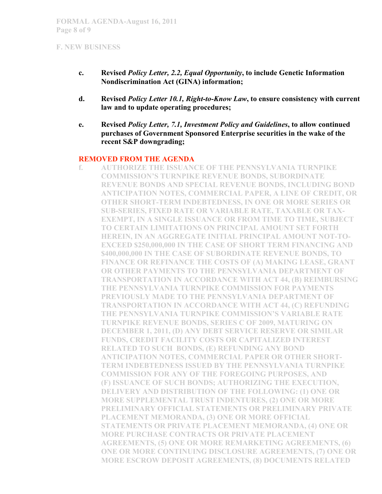- **c. Revised** *Policy Letter, 2.2, Equal Opportunity***, to include Genetic Information Nondiscrimination Act (GINA) information;**
- **d. Revised** *Policy Letter 10.1, Right-to-Know Law***, to ensure consistency with current law and to update operating procedures;**
- **e. Revised** *Policy Letter, 7.1, Investment Policy and Guidelines***, to allow continued purchases of Government Sponsored Enterprise securities in the wake of the recent S&P downgrading;**

## **REMOVED FROM THE AGENDA**

**f. AUTHORIZE THE ISSUANCE OF THE PENNSYLVANIA TURNPIKE COMMISSION'S TURNPIKE REVENUE BONDS, SUBORDINATE REVENUE BONDS AND SPECIAL REVENUE BONDS, INCLUDING BOND ANTICIPATION NOTES, COMMERCIAL PAPER, A LINE OF CREDIT, OR OTHER SHORT-TERM INDEBTEDNESS, IN ONE OR MORE SERIES OR SUB-SERIES, FIXED RATE OR VARIABLE RATE, TAXABLE OR TAX-EXEMPT, IN A SINGLE ISSUANCE OR FROM TIME TO TIME, SUBJECT TO CERTAIN LIMITATIONS ON PRINCIPAL AMOUNT SET FORTH HEREIN, IN AN AGGREGATE INITIAL PRINCIPAL AMOUNT NOT-TO-EXCEED \$250,000,000 IN THE CASE OF SHORT TERM FINANCING AND \$400,000,000 IN THE CASE OF SUBORDINATE REVENUE BONDS, TO FINANCE OR REFINANCE THE COSTS OF (A) MAKING LEASE, GRANT OR OTHER PAYMENTS TO THE PENNSYLVANIA DEPARTMENT OF TRANSPORTATION IN ACCORDANCE WITH ACT 44, (B) REIMBURSING THE PENNSYLVANIA TURNPIKE COMMISSION FOR PAYMENTS PREVIOUSLY MADE TO THE PENNSYLVANIA DEPARTMENT OF TRANSPORTATION IN ACCORDANCE WITH ACT 44, (C) REFUNDING THE PENNSYLVANIA TURNPIKE COMMISSION'S VARIABLE RATE TURNPIKE REVENUE BONDS, SERIES C OF 2009, MATURING ON DECEMBER 1, 2011, (D) ANY DEBT SERVICE RESERVE OR SIMILAR FUNDS, CREDIT FACILITY COSTS OR CAPITALIZED INTEREST RELATED TO SUCH BONDS, (E) REFUNDING ANY BOND ANTICIPATION NOTES, COMMERCIAL PAPER OR OTHER SHORT-TERM INDEBTEDNESS ISSUED BY THE PENNSYLVANIA TURNPIKE COMMISSION FOR ANY OF THE FOREGOING PURPOSES, AND (F) ISSUANCE OF SUCH BONDS; AUTHORIZING THE EXECUTION, DELIVERY AND DISTRIBUTION OF THE FOLLOWING: (1) ONE OR MORE SUPPLEMENTAL TRUST INDENTURES, (2) ONE OR MORE PRELIMINARY OFFICIAL STATEMENTS OR PRELIMINARY PRIVATE PLACEMENT MEMORANDA, (3) ONE OR MORE OFFICIAL STATEMENTS OR PRIVATE PLACEMENT MEMORANDA, (4) ONE OR MORE PURCHASE CONTRACTS OR PRIVATE PLACEMENT AGREEMENTS, (5) ONE OR MORE REMARKETING AGREEMENTS, (6) ONE OR MORE CONTINUING DISCLOSURE AGREEMENTS, (7) ONE OR MORE ESCROW DEPOSIT AGREEMENTS, (8) DOCUMENTS RELATED**